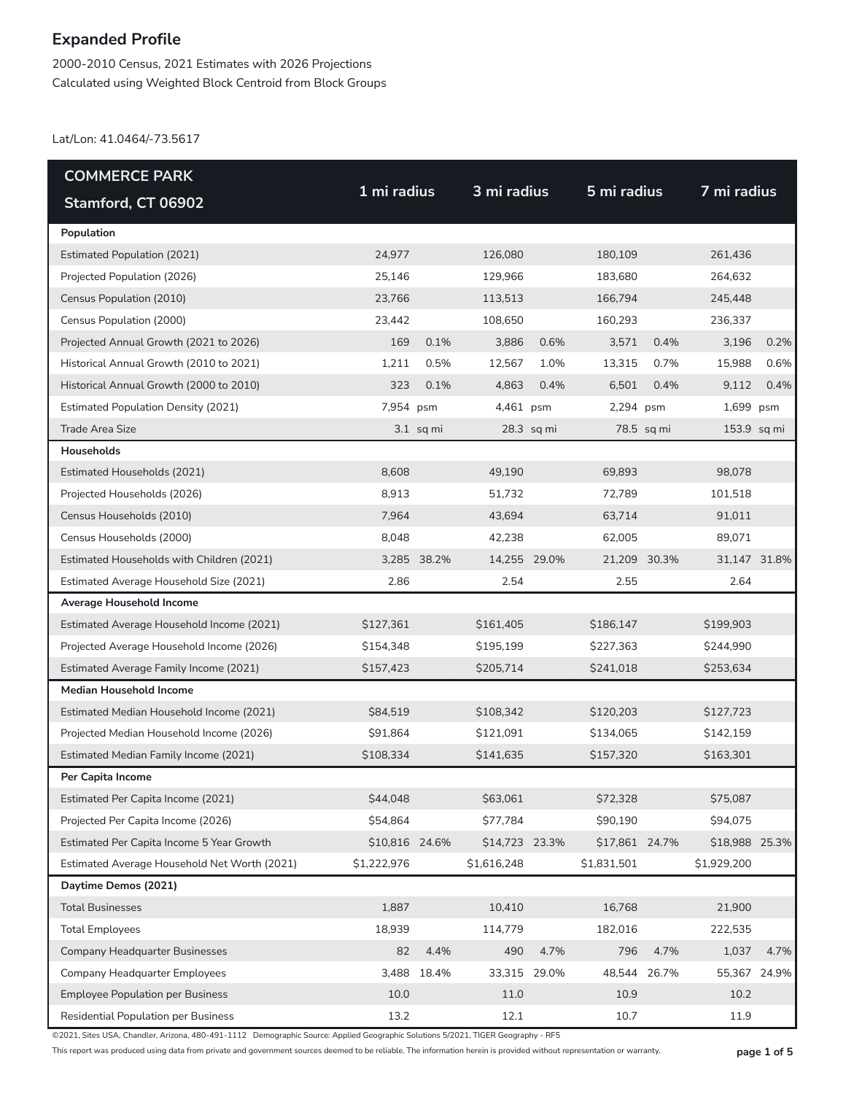2000-2010 Census, 2021 Estimates with 2026 Projections Calculated using Weighted Block Centroid from Block Groups

Lat/Lon: 41.0464/-73.5617

| <b>COMMERCE PARK</b>                         |                |             | 3 mi radius    |            |                |            |                |      |  |
|----------------------------------------------|----------------|-------------|----------------|------------|----------------|------------|----------------|------|--|
| Stamford, CT 06902                           | 1 mi radius    |             |                |            | 5 mi radius    |            | 7 mi radius    |      |  |
| Population                                   |                |             |                |            |                |            |                |      |  |
| <b>Estimated Population (2021)</b>           | 24,977         |             | 126.080        |            | 180,109        |            | 261,436        |      |  |
| Projected Population (2026)                  | 25,146         |             | 129,966        |            | 183,680        |            | 264,632        |      |  |
| Census Population (2010)                     | 23,766         |             | 113,513        |            | 166,794        |            | 245,448        |      |  |
| Census Population (2000)                     | 23,442         |             | 108,650        |            | 160,293        |            | 236,337        |      |  |
| Projected Annual Growth (2021 to 2026)       | 169            | 0.1%        | 3,886          | 0.6%       | 3,571          | 0.4%       | 3,196          | 0.2% |  |
| Historical Annual Growth (2010 to 2021)      | 1,211          | 0.5%        | 12,567         | 1.0%       | 13,315         | 0.7%       | 15,988         | 0.6% |  |
| Historical Annual Growth (2000 to 2010)      | 323            | 0.1%        | 4,863          | 0.4%       | 6,501          | 0.4%       | 9,112          | 0.4% |  |
| <b>Estimated Population Density (2021)</b>   | 7,954 psm      |             | 4,461 psm      |            | 2,294 psm      |            | 1,699 psm      |      |  |
| <b>Trade Area Size</b>                       |                | $3.1$ sq mi |                | 28.3 sq mi |                | 78.5 sq mi | $153.9$ sq mi  |      |  |
| <b>Households</b>                            |                |             |                |            |                |            |                |      |  |
| Estimated Households (2021)                  | 8,608          |             | 49,190         |            | 69,893         |            | 98,078         |      |  |
| Projected Households (2026)                  | 8,913          |             | 51,732         |            | 72,789         |            | 101,518        |      |  |
| Census Households (2010)                     | 7,964          |             | 43,694         |            | 63,714         |            | 91,011         |      |  |
| Census Households (2000)                     | 8,048          |             | 42.238         |            | 62,005         |            | 89,071         |      |  |
| Estimated Households with Children (2021)    |                | 3,285 38.2% | 14,255 29.0%   |            | 21,209 30.3%   |            | 31,147 31.8%   |      |  |
| Estimated Average Household Size (2021)      | 2.86           |             | 2.54           |            | 2.55           |            | 2.64           |      |  |
| Average Household Income                     |                |             |                |            |                |            |                |      |  |
| Estimated Average Household Income (2021)    | \$127,361      |             | \$161,405      |            | \$186,147      |            | \$199,903      |      |  |
| Projected Average Household Income (2026)    | \$154,348      |             | \$195,199      |            | \$227,363      |            | \$244,990      |      |  |
| Estimated Average Family Income (2021)       | \$157,423      |             | \$205,714      |            | \$241,018      |            | \$253,634      |      |  |
| <b>Median Household Income</b>               |                |             |                |            |                |            |                |      |  |
| Estimated Median Household Income (2021)     | \$84,519       |             | \$108,342      |            | \$120,203      |            | \$127,723      |      |  |
| Projected Median Household Income (2026)     | \$91,864       |             | \$121,091      |            | \$134,065      |            | \$142,159      |      |  |
| Estimated Median Family Income (2021)        | \$108,334      |             | \$141,635      |            | \$157,320      |            | \$163,301      |      |  |
| Per Capita Income                            |                |             |                |            |                |            |                |      |  |
| Estimated Per Capita Income (2021)           | \$44,048       |             | \$63,061       |            | \$72,328       |            | \$75,087       |      |  |
| Projected Per Capita Income (2026)           | \$54,864       |             | \$77,784       |            | \$90,190       |            | \$94,075       |      |  |
| Estimated Per Capita Income 5 Year Growth    | \$10,816 24.6% |             | \$14,723 23.3% |            | \$17,861 24.7% |            | \$18,988 25.3% |      |  |
| Estimated Average Household Net Worth (2021) | \$1,222,976    |             | \$1,616,248    |            | \$1,831,501    |            | \$1,929,200    |      |  |
| Daytime Demos (2021)                         |                |             |                |            |                |            |                |      |  |
| <b>Total Businesses</b>                      | 1,887          |             | 10,410         |            | 16,768         |            | 21,900         |      |  |
| <b>Total Employees</b>                       | 18,939         |             | 114,779        |            | 182,016        |            | 222,535        |      |  |
| <b>Company Headquarter Businesses</b>        | 82             | 4.4%        | 490            | 4.7%       | 796            | 4.7%       | 1,037          | 4.7% |  |
| Company Headquarter Employees                |                | 3,488 18.4% | 33,315 29.0%   |            | 48,544         | 26.7%      | 55,367 24.9%   |      |  |
| <b>Employee Population per Business</b>      | 10.0           |             | 11.0           |            | 10.9           |            | 10.2           |      |  |
| Residential Population per Business          | 13.2           |             | 12.1           |            | 10.7           |            | 11.9           |      |  |

©2021, Sites USA, Chandler, Arizona, 480-491-1112 Demographic Source: Applied Geographic Solutions 5/2021, TIGER Geography - RF5

This report was produced using data from private and government sources deemed to be reliable. The information herein is provided without representation or warranty. **page 1 of 5**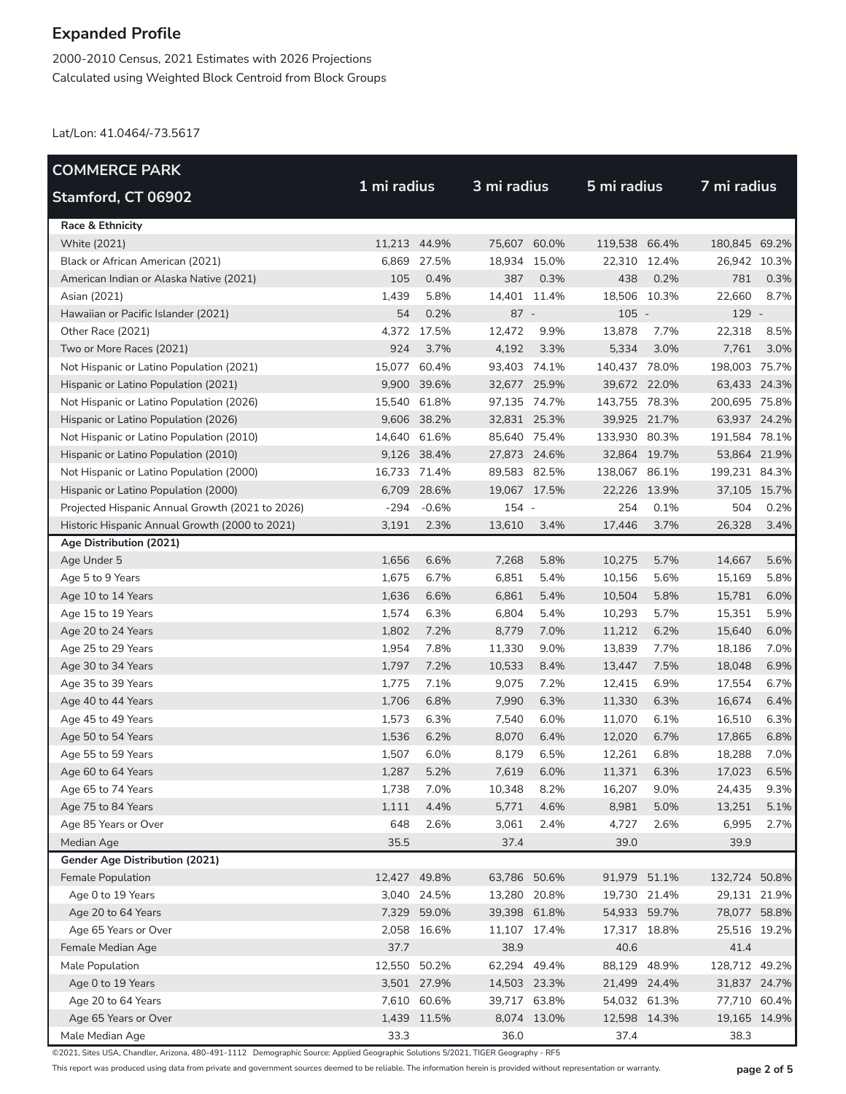2000-2010 Census, 2021 Estimates with 2026 Projections Calculated using Weighted Block Centroid from Block Groups

Lat/Lon: 41.0464/-73.5617

| <b>COMMERCE PARK</b>                            |              |             |              |             |               |              | 7 mi radius   |              |
|-------------------------------------------------|--------------|-------------|--------------|-------------|---------------|--------------|---------------|--------------|
| Stamford, CT 06902                              | 1 mi radius  |             |              | 3 mi radius |               | 5 mi radius  |               |              |
| <b>Race &amp; Ethnicity</b>                     |              |             |              |             |               |              |               |              |
| <b>White (2021)</b>                             | 11,213 44.9% |             | 75,607 60.0% |             | 119,538 66.4% |              | 180,845 69.2% |              |
| Black or African American (2021)                | 6,869        | 27.5%       | 18,934 15.0% |             | 22,310 12.4%  |              | 26,942 10.3%  |              |
| American Indian or Alaska Native (2021)         | 105          | 0.4%        | 387          | 0.3%        | 438           | 0.2%         | 781           | 0.3%         |
| Asian (2021)                                    | 1,439        | 5.8%        | 14,401 11.4% |             | 18,506 10.3%  |              | 22,660        | 8.7%         |
| Hawaiian or Pacific Islander (2021)             | 54           | 0.2%        | $87 -$       |             | $105 -$       |              | 129 -         |              |
| Other Race (2021)                               | 4,372        | 17.5%       | 12,472       | 9.9%        | 13,878        | 7.7%         | 22,318        | 8.5%         |
| Two or More Races (2021)                        | 924          | 3.7%        | 4,192        | 3.3%        | 5,334         | 3.0%         | 7,761         | 3.0%         |
| Not Hispanic or Latino Population (2021)        | 15,077       | 60.4%       | 93,403 74.1% |             | 140,437 78.0% |              | 198,003 75.7% |              |
| Hispanic or Latino Population (2021)            | 9,900        | 39.6%       | 32,677 25.9% |             | 39,672 22.0%  |              | 63,433 24.3%  |              |
| Not Hispanic or Latino Population (2026)        | 15,540       | 61.8%       | 97,135 74.7% |             | 143,755 78.3% |              | 200,695 75.8% |              |
| Hispanic or Latino Population (2026)            |              | 9,606 38.2% | 32,831 25.3% |             | 39,925 21.7%  |              | 63,937 24.2%  |              |
| Not Hispanic or Latino Population (2010)        | 14,640 61.6% |             | 85,640 75.4% |             | 133,930 80.3% |              | 191,584 78.1% |              |
| Hispanic or Latino Population (2010)            |              | 9,126 38.4% | 27,873 24.6% |             | 32,864 19.7%  |              | 53,864 21.9%  |              |
| Not Hispanic or Latino Population (2000)        | 16,733 71.4% |             | 89,583 82.5% |             | 138,067 86.1% |              | 199,231 84.3% |              |
| Hispanic or Latino Population (2000)            |              | 6,709 28.6% | 19,067 17.5% |             | 22,226 13.9%  |              | 37,105 15.7%  |              |
| Projected Hispanic Annual Growth (2021 to 2026) | $-294$       | $-0.6%$     | 154 -        |             | 254           | 0.1%         | 504           | 0.2%         |
| Historic Hispanic Annual Growth (2000 to 2021)  | 3,191        | 2.3%        | 13,610       | 3.4%        | 17,446        | 3.7%         | 26,328        | 3.4%         |
| Age Distribution (2021)                         |              |             |              |             |               |              |               |              |
| Age Under 5                                     | 1,656        | 6.6%        | 7,268        | 5.8%        | 10,275        | 5.7%         | 14,667        | 5.6%         |
| Age 5 to 9 Years                                | 1,675        | 6.7%        | 6,851        | 5.4%        | 10,156        | 5.6%         | 15,169        | 5.8%         |
| Age 10 to 14 Years                              | 1,636        | 6.6%        | 6,861        | 5.4%        | 10,504        | 5.8%         | 15,781        | 6.0%         |
| Age 15 to 19 Years                              | 1,574        | 6.3%        | 6,804        | 5.4%        | 10,293        | 5.7%         | 15,351        | 5.9%         |
| Age 20 to 24 Years                              | 1,802        | 7.2%        | 8,779        | 7.0%        | 11,212        | 6.2%         | 15,640        | 6.0%         |
| Age 25 to 29 Years                              | 1,954        | 7.8%        | 11,330       | 9.0%        | 13,839        | 7.7%         | 18,186        | 7.0%         |
| Age 30 to 34 Years                              | 1,797        | 7.2%        | 10,533       | 8.4%        | 13,447        | 7.5%         | 18,048        | 6.9%         |
| Age 35 to 39 Years                              | 1,775        | 7.1%        | 9,075        | 7.2%        | 12,415        | 6.9%         | 17,554        | 6.7%         |
| Age 40 to 44 Years                              | 1,706        | 6.8%        | 7,990        | 6.3%        | 11,330        | 6.3%         | 16,674        | 6.4%         |
| Age 45 to 49 Years                              | 1,573        | 6.3%        | 7,540        | 6.0%        | 11,070        | 6.1%         | 16,510        | 6.3%         |
| Age 50 to 54 Years                              | 1,536        | 6.2%        | 8,070        | 6.4%        | 12,020        | 6.7%         | 17,865        | 6.8%         |
| Age 55 to 59 Years                              | 1,507        | 6.0%        | 8,179        | 6.5%        | 12,261        | 6.8%         | 18,288        | 7.0%         |
| Age 60 to 64 Years                              | 1,287        | 5.2%        | 7,619        | 6.0%        | 11,371        | 6.3%         | 17,023        | 6.5%         |
| Age 65 to 74 Years                              | 1,738        | 7.0%        | 10,348       | 8.2%        | 16,207        | 9.0%         | 24,435        | 9.3%         |
| Age 75 to 84 Years                              | 1,111        | 4.4%        | 5,771        | 4.6%        | 8,981         | 5.0%         | 13,251        | 5.1%         |
| Age 85 Years or Over                            | 648          | 2.6%        | 3,061        | 2.4%        | 4,727         | 2.6%         | 6,995         | 2.7%         |
| Median Age                                      | 35.5         |             | 37.4         |             | 39.0          |              | 39.9          |              |
| Gender Age Distribution (2021)                  |              |             |              |             |               |              |               |              |
| Female Population                               | 12,427 49.8% |             | 63,786 50.6% |             | 91,979 51.1%  |              | 132,724 50.8% |              |
| Age 0 to 19 Years                               |              | 3,040 24.5% | 13,280 20.8% |             |               | 19,730 21.4% | 29,131 21.9%  |              |
| Age 20 to 64 Years                              |              | 7,329 59.0% | 39,398 61.8% |             |               | 54,933 59.7% | 78,077 58.8%  |              |
| Age 65 Years or Over                            |              | 2,058 16.6% | 11,107 17.4% |             |               | 17,317 18.8% | 25,516 19.2%  |              |
| Female Median Age                               | 37.7         |             | 38.9         |             | 40.6          |              | 41.4          |              |
| Male Population                                 | 12,550 50.2% |             | 62,294 49.4% |             | 88,129 48.9%  |              | 128,712 49.2% |              |
| Age 0 to 19 Years                               |              | 3,501 27.9% | 14,503 23.3% |             | 21,499 24.4%  |              | 31,837 24.7%  |              |
| Age 20 to 64 Years                              |              | 7,610 60.6% | 39,717 63.8% |             |               | 54,032 61.3% | 77,710 60.4%  |              |
| Age 65 Years or Over                            |              | 1,439 11.5% |              | 8,074 13.0% |               | 12,598 14.3% |               | 19,165 14.9% |
| Male Median Age                                 | 33.3         |             | 36.0         |             | 37.4          |              | 38.3          |              |

©2021, Sites USA, Chandler, Arizona, 480-491-1112 Demographic Source: Applied Geographic Solutions 5/2021, TIGER Geography - RF5

This report was produced using data from private and government sources deemed to be reliable. The information herein is provided without representation or warranty. **page 2 of 5**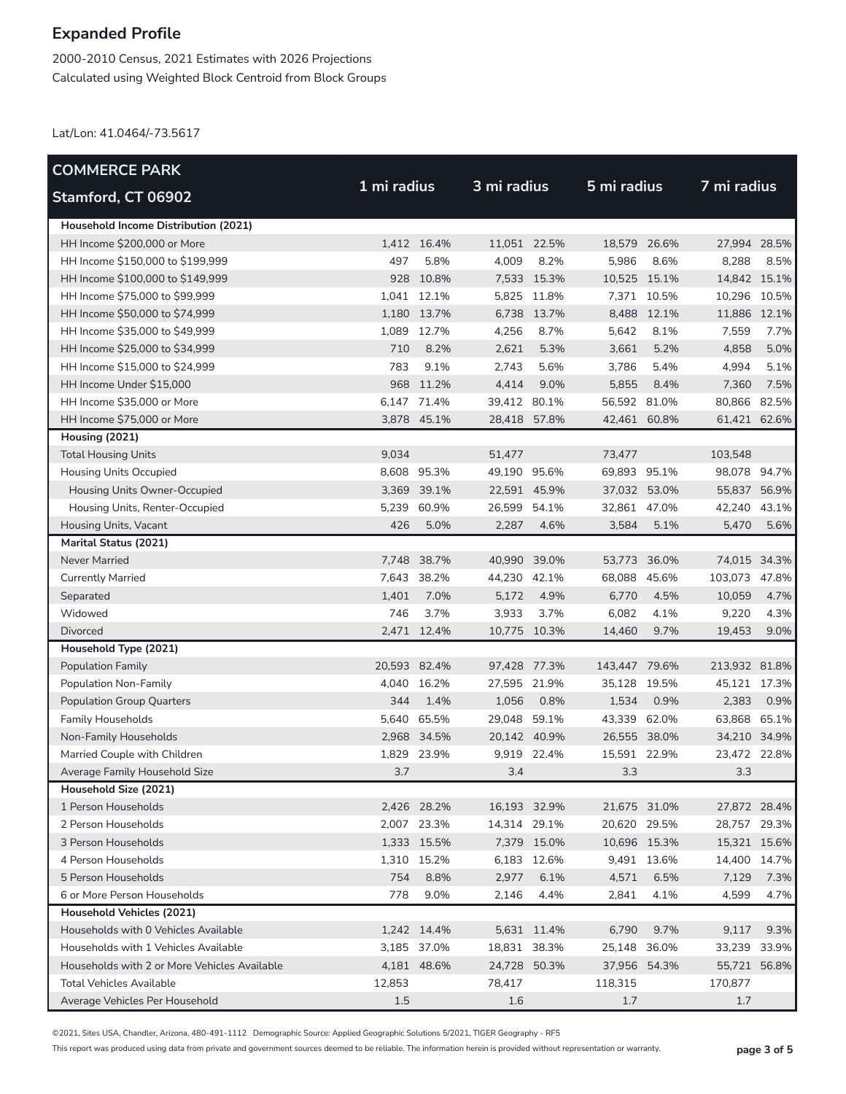2000-2010 Census, 2021 Estimates with 2026 Projections Calculated using Weighted Block Centroid from Block Groups

Lat/Lon: 41.0464/-73.5617

| <b>COMMERCE PARK</b>                         |              |             |              |              |               |             |               |              |
|----------------------------------------------|--------------|-------------|--------------|--------------|---------------|-------------|---------------|--------------|
| Stamford, CT 06902                           | 1 mi radius  |             | 3 mi radius  |              | 5 mi radius   |             | 7 mi radius   |              |
| Household Income Distribution (2021)         |              |             |              |              |               |             |               |              |
| HH Income \$200,000 or More                  |              | 1,412 16.4% |              | 11,051 22.5% | 18,579 26.6%  |             | 27,994 28.5%  |              |
| HH Income \$150,000 to \$199,999             | 497          | 5.8%        | 4,009        | 8.2%         | 5,986         | 8.6%        | 8,288         | 8.5%         |
| HH Income \$100,000 to \$149,999             |              | 928 10.8%   |              | 7,533 15.3%  | 10,525 15.1%  |             | 14,842 15.1%  |              |
| HH Income \$75,000 to \$99,999               |              | 1,041 12.1% |              | 5,825 11.8%  |               | 7,371 10.5% | 10,296 10.5%  |              |
| HH Income \$50,000 to \$74,999               |              | 1,180 13.7% |              | 6,738 13.7%  |               | 8,488 12.1% | 11,886 12.1%  |              |
| HH Income \$35,000 to \$49,999               | 1,089        | 12.7%       | 4,256        | 8.7%         | 5.642         | 8.1%        | 7,559         | 7.7%         |
| HH Income \$25,000 to \$34,999               | 710          | 8.2%        | 2,621        | 5.3%         | 3,661         | 5.2%        | 4,858         | 5.0%         |
| HH Income \$15,000 to \$24,999               | 783          | 9.1%        | 2,743        | 5.6%         | 3,786         | 5.4%        | 4,994         | 5.1%         |
| HH Income Under \$15,000                     |              | 968 11.2%   | 4,414        | 9.0%         | 5,855         | 8.4%        | 7,360         | 7.5%         |
| HH Income \$35,000 or More                   |              | 6,147 71.4% | 39,412 80.1% |              | 56,592 81.0%  |             | 80,866        | 82.5%        |
| HH Income \$75,000 or More                   |              | 3,878 45.1% | 28,418 57.8% |              | 42,461 60.8%  |             | 61,421 62.6%  |              |
| Housing (2021)                               |              |             |              |              |               |             |               |              |
| <b>Total Housing Units</b>                   | 9,034        |             | 51,477       |              | 73.477        |             | 103,548       |              |
| <b>Housing Units Occupied</b>                |              | 8,608 95.3% | 49,190 95.6% |              | 69,893 95.1%  |             | 98,078 94.7%  |              |
| Housing Units Owner-Occupied                 |              | 3,369 39.1% | 22,591 45.9% |              | 37,032 53.0%  |             | 55,837 56.9%  |              |
| Housing Units, Renter-Occupied               |              | 5,239 60.9% | 26,599 54.1% |              | 32,861 47.0%  |             | 42,240 43.1%  |              |
| Housing Units, Vacant                        | 426          | 5.0%        | 2,287        | 4.6%         | 3,584         | 5.1%        | 5,470         | 5.6%         |
| <b>Marital Status (2021)</b>                 |              |             |              |              |               |             |               |              |
| Never Married                                |              | 7,748 38.7% | 40,990 39.0% |              | 53,773 36.0%  |             |               | 74,015 34.3% |
| <b>Currently Married</b>                     |              | 7,643 38.2% | 44,230 42.1% |              | 68,088 45.6%  |             | 103,073 47.8% |              |
| Separated                                    | 1,401        | 7.0%        | 5,172        | 4.9%         | 6,770         | 4.5%        | 10,059        | 4.7%         |
| Widowed                                      | 746          | 3.7%        | 3,933        | 3.7%         | 6,082         | 4.1%        | 9,220         | 4.3%         |
| Divorced                                     |              | 2,471 12.4% |              | 10,775 10.3% | 14,460        | 9.7%        | 19,453        | 9.0%         |
| Household Type (2021)                        |              |             |              |              |               |             |               |              |
| <b>Population Family</b>                     | 20,593 82.4% |             | 97,428 77.3% |              | 143,447 79.6% |             | 213,932 81.8% |              |
| Population Non-Family                        |              | 4,040 16.2% | 27,595 21.9% |              | 35,128 19.5%  |             | 45,121 17.3%  |              |
| <b>Population Group Quarters</b>             | 344          | 1.4%        | 1,056        | 0.8%         | 1,534         | 0.9%        | 2,383         | 0.9%         |
| <b>Family Households</b>                     |              | 5,640 65.5% | 29,048 59.1% |              | 43,339 62.0%  |             | 63,868 65.1%  |              |
| Non-Family Households                        |              | 2,968 34.5% |              | 20,142 40.9% | 26,555 38.0%  |             | 34,210 34.9%  |              |
| Married Couple with Children                 |              | 1,829 23.9% |              | 9,919 22.4%  | 15,591 22.9%  |             | 23,472 22.8%  |              |
| Average Family Household Size                | 3.7          |             | 3.4          |              | 3.3           |             | 3.3           |              |
| Household Size (2021)                        |              |             |              |              |               |             |               |              |
| 1 Person Households                          |              | 2,426 28.2% | 16,193 32.9% |              | 21,675 31.0%  |             | 27,872 28.4%  |              |
| 2 Person Households                          |              | 2,007 23.3% | 14,314 29.1% |              | 20,620 29.5%  |             | 28,757 29.3%  |              |
| 3 Person Households                          |              | 1,333 15.5% |              | 7,379 15.0%  | 10,696 15.3%  |             |               | 15,321 15.6% |
| 4 Person Households                          |              | 1,310 15.2% |              | 6,183 12.6%  |               | 9,491 13.6% | 14,400 14.7%  |              |
| 5 Person Households                          | 754          | 8.8%        | 2,977        | 6.1%         | 4,571         | 6.5%        | 7,129         | 7.3%         |
| 6 or More Person Households                  | 778          | 9.0%        | 2,146        | 4.4%         | 2,841         | 4.1%        | 4,599         | 4.7%         |
| Household Vehicles (2021)                    |              |             |              |              |               |             |               |              |
| Households with 0 Vehicles Available         |              | 1,242 14.4% |              | 5,631 11.4%  | 6,790         | 9.7%        | 9,117         | 9.3%         |
| Households with 1 Vehicles Available         |              | 3,185 37.0% | 18,831 38.3% |              | 25,148 36.0%  |             | 33,239        | 33.9%        |
| Households with 2 or More Vehicles Available |              | 4,181 48.6% | 24,728 50.3% |              | 37,956 54.3%  |             | 55,721 56.8%  |              |
| <b>Total Vehicles Available</b>              | 12,853       |             | 78,417       |              | 118,315       |             | 170,877       |              |
| Average Vehicles Per Household               | 1.5          |             | 1.6          |              | 1.7           |             | 1.7           |              |

©2021, Sites USA, Chandler, Arizona, 480-491-1112 Demographic Source: Applied Geographic Solutions 5/2021, TIGER Geography - RF5

This report was produced using data from private and government sources deemed to be reliable. The information herein is provided without representation or warranty. **page 3 of 5**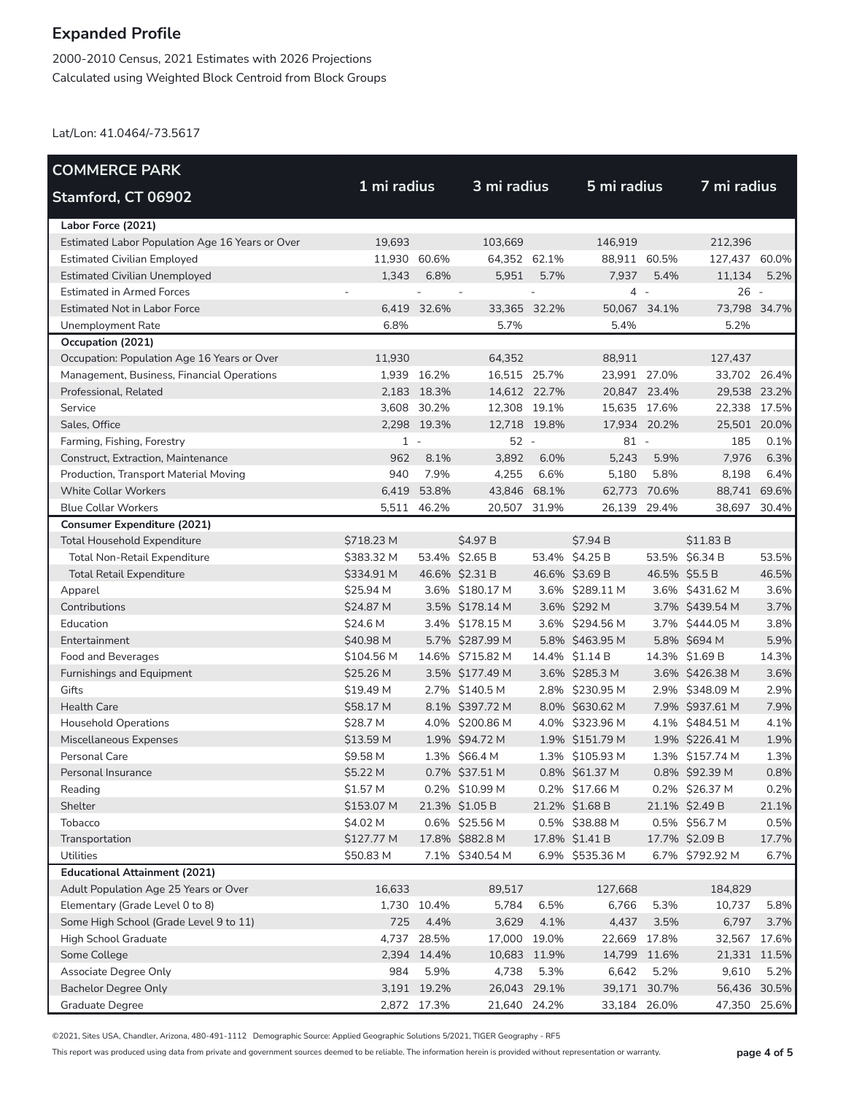2000-2010 Census, 2021 Estimates with 2026 Projections Calculated using Weighted Block Centroid from Block Groups

Lat/Lon: 41.0464/-73.5617

| <b>COMMERCE PARK</b>                            |              |             |                  |              |                 |        |                 |              |
|-------------------------------------------------|--------------|-------------|------------------|--------------|-----------------|--------|-----------------|--------------|
| <b>Stamford, CT 06902</b>                       | 1 mi radius  |             | 3 mi radius      |              | 5 mi radius     |        | 7 mi radius     |              |
| Labor Force (2021)                              |              |             |                  |              |                 |        |                 |              |
| Estimated Labor Population Age 16 Years or Over | 19,693       |             | 103,669          |              | 146,919         |        | 212,396         |              |
| <b>Estimated Civilian Employed</b>              | 11,930 60.6% |             | 64,352 62.1%     |              | 88,911 60.5%    |        | 127,437 60.0%   |              |
| <b>Estimated Civilian Unemployed</b>            | 1,343        | 6.8%        | 5,951            | 5.7%         | 7,937           | 5.4%   | 11,134          | 5.2%         |
| <b>Estimated in Armed Forces</b>                |              |             |                  |              | $\overline{4}$  | $\sim$ | $26 -$          |              |
| <b>Estimated Not in Labor Force</b>             |              | 6,419 32.6% | 33,365 32.2%     |              | 50.067 34.1%    |        | 73,798 34.7%    |              |
| Unemployment Rate                               | 6.8%         |             | 5.7%             |              | 5.4%            |        | 5.2%            |              |
| Occupation (2021)                               |              |             |                  |              |                 |        |                 |              |
| Occupation: Population Age 16 Years or Over     | 11,930       |             | 64,352           |              | 88,911          |        | 127,437         |              |
| Management, Business, Financial Operations      |              | 1,939 16.2% | 16,515 25.7%     |              | 23,991 27.0%    |        | 33,702 26.4%    |              |
| Professional, Related                           |              | 2,183 18.3% | 14,612 22.7%     |              | 20,847 23.4%    |        | 29,538 23.2%    |              |
| Service                                         |              | 3,608 30.2% | 12,308 19.1%     |              | 15,635 17.6%    |        | 22,338 17.5%    |              |
| Sales, Office                                   |              | 2,298 19.3% | 12,718 19.8%     |              | 17,934 20.2%    |        | 25,501 20.0%    |              |
| Farming, Fishing, Forestry                      | $1 -$        |             | $52 -$           |              | $81 -$          |        | 185             | 0.1%         |
| Construct, Extraction, Maintenance              | 962          | 8.1%        | 3,892            | 6.0%         | 5,243           | 5.9%   | 7,976           | 6.3%         |
| Production, Transport Material Moving           | 940          | 7.9%        | 4,255            | 6.6%         | 5,180           | 5.8%   | 8,198           | 6.4%         |
| <b>White Collar Workers</b>                     | 6,419        | 53.8%       | 43,846 68.1%     |              | 62,773 70.6%    |        | 88,741 69.6%    |              |
| <b>Blue Collar Workers</b>                      |              | 5,511 46.2% | 20,507 31.9%     |              | 26,139          | 29.4%  | 38,697          | 30.4%        |
| <b>Consumer Expenditure (2021)</b>              |              |             |                  |              |                 |        |                 |              |
| <b>Total Household Expenditure</b>              | \$718.23 M   |             | \$4.97 B         |              | \$7.94 B        |        | \$11.83 B       |              |
| Total Non-Retail Expenditure                    | \$383.32 M   |             | 53.4% \$2.65 B   |              | 53.4% \$4.25 B  |        | 53.5% \$6.34 B  | 53.5%        |
| <b>Total Retail Expenditure</b>                 | \$334.91 M   |             | 46.6% \$2.31 B   |              | 46.6% \$3.69 B  |        | 46.5% \$5.5 B   | 46.5%        |
| Apparel                                         | \$25.94 M    |             | 3.6% \$180.17 M  |              | 3.6% \$289.11 M |        | 3.6% \$431.62 M | 3.6%         |
| Contributions                                   | \$24.87 M    |             | 3.5% \$178.14 M  |              | 3.6% \$292 M    |        | 3.7% \$439.54 M | 3.7%         |
| Education                                       | \$24.6 M     |             | 3.4% \$178.15 M  |              | 3.6% \$294.56 M |        | 3.7% \$444.05 M | 3.8%         |
| Entertainment                                   | \$40.98 M    |             | 5.7% \$287.99 M  |              | 5.8% \$463.95 M |        | 5.8% \$694 M    | 5.9%         |
| Food and Beverages                              | \$104.56 M   |             | 14.6% \$715.82 M |              | 14.4% \$1.14 B  |        | 14.3% \$1.69 B  | 14.3%        |
| Furnishings and Equipment                       | \$25.26 M    |             | 3.5% \$177.49 M  |              | 3.6% \$285.3 M  |        | 3.6% \$426.38 M | 3.6%         |
| Gifts                                           | \$19.49 M    |             | 2.7% \$140.5 M   |              | 2.8% \$230.95 M |        | 2.9% \$348.09 M | 2.9%         |
| <b>Health Care</b>                              | \$58.17 M    |             | 8.1% \$397.72 M  |              | 8.0% \$630.62 M |        | 7.9% \$937.61 M | 7.9%         |
| <b>Household Operations</b>                     | \$28.7 M     |             | 4.0% \$200.86 M  |              | 4.0% \$323.96 M |        | 4.1% \$484.51 M | 4.1%         |
| Miscellaneous Expenses                          | \$13.59 M    |             | 1.9% \$94.72 M   |              | 1.9% \$151.79 M |        | 1.9% \$226.41 M | 1.9%         |
| Personal Care                                   | \$9.58 M     |             | 1.3% \$66.4 M    |              | 1.3% \$105.93 M |        | 1.3% \$157.74 M | 1.3%         |
| Personal Insurance                              | \$5.22 M     |             | 0.7% \$37.51 M   |              | 0.8% \$61.37 M  |        | 0.8% \$92.39 M  | 0.8%         |
| Reading                                         | \$1.57 M     |             | 0.2% \$10.99 M   |              | 0.2% \$17.66 M  |        | 0.2% \$26.37 M  | 0.2%         |
| Shelter                                         | \$153.07 M   |             | 21.3% \$1.05 B   |              | 21.2% \$1.68 B  |        | 21.1% \$2.49 B  | 21.1%        |
| Tobacco                                         | \$4.02 M     |             | 0.6% \$25.56 M   |              | 0.5% \$38.88 M  |        | 0.5% \$56.7 M   | 0.5%         |
| Transportation                                  | \$127.77 M   |             | 17.8% \$882.8 M  |              | 17.8% \$1.41 B  |        | 17.7% \$2.09 B  | 17.7%        |
| Utilities                                       | \$50.83 M    |             | 7.1% \$340.54 M  |              | 6.9% \$535.36 M |        | 6.7% \$792.92 M | 6.7%         |
| <b>Educational Attainment (2021)</b>            |              |             |                  |              |                 |        |                 |              |
| Adult Population Age 25 Years or Over           | 16,633       |             | 89,517           |              | 127,668         |        | 184,829         |              |
| Elementary (Grade Level 0 to 8)                 |              | 1,730 10.4% | 5,784            | 6.5%         | 6,766           | 5.3%   | 10,737          | 5.8%         |
| Some High School (Grade Level 9 to 11)          | 725          | 4.4%        | 3,629            | 4.1%         | 4,437           | 3.5%   | 6,797           | 3.7%         |
| High School Graduate                            | 4,737        | 28.5%       | 17,000 19.0%     |              | 22,669          | 17.8%  | 32,567          | 17.6%        |
| Some College                                    |              | 2,394 14.4% |                  | 10,683 11.9% | 14,799 11.6%    |        |                 | 21,331 11.5% |
| Associate Degree Only                           | 984          | 5.9%        | 4,738            | 5.3%         | 6,642           | 5.2%   | 9,610           | 5.2%         |
| <b>Bachelor Degree Only</b>                     |              | 3,191 19.2% | 26,043 29.1%     |              | 39,171 30.7%    |        |                 | 56,436 30.5% |
| Graduate Degree                                 |              | 2,872 17.3% | 21,640 24.2%     |              | 33,184 26.0%    |        | 47,350          | 25.6%        |

©2021, Sites USA, Chandler, Arizona, 480-491-1112 Demographic Source: Applied Geographic Solutions 5/2021, TIGER Geography - RF5

This report was produced using data from private and government sources deemed to be reliable. The information herein is provided without representation or warranty. **page 4 of 5**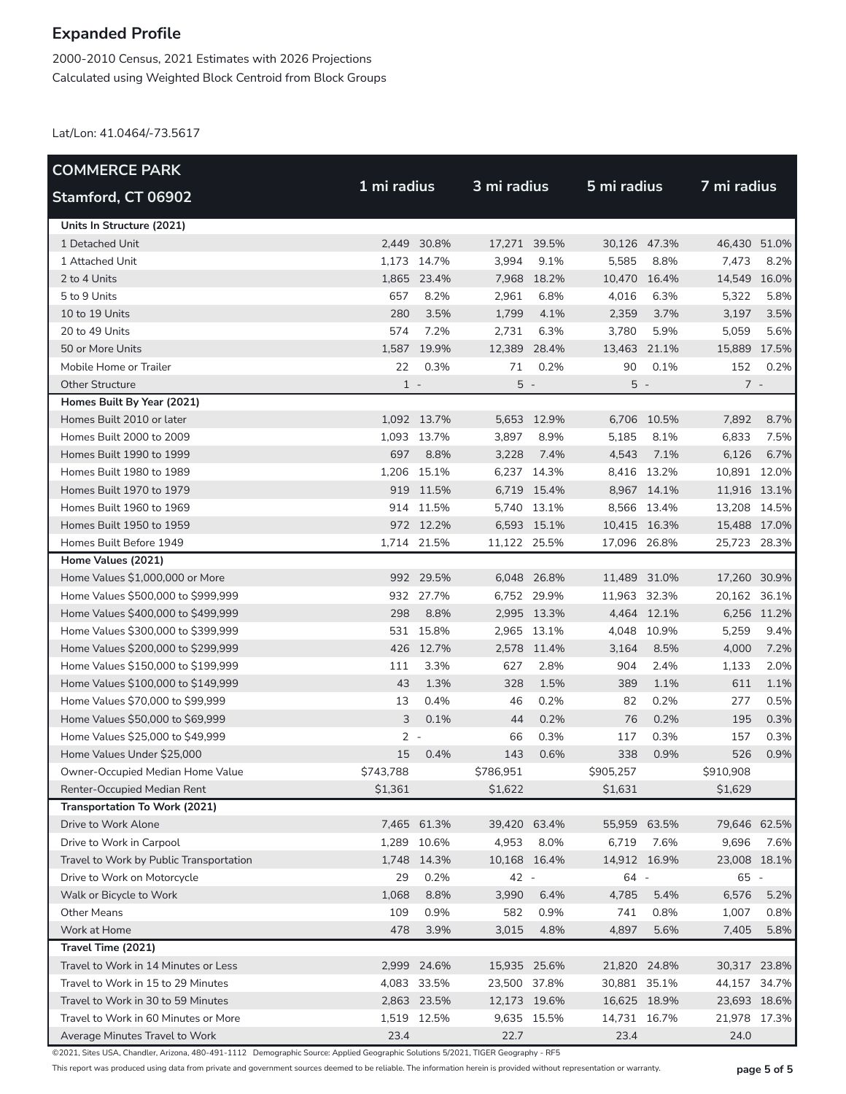2000-2010 Census, 2021 Estimates with 2026 Projections Calculated using Weighted Block Centroid from Block Groups

Lat/Lon: 41.0464/-73.5617

| <b>COMMERCE PARK</b>                    |           |             |              |             |              | 5 mi radius |              |              |  |
|-----------------------------------------|-----------|-------------|--------------|-------------|--------------|-------------|--------------|--------------|--|
| Stamford, CT 06902                      |           | 1 mi radius |              | 3 mi radius |              |             | 7 mi radius  |              |  |
| Units In Structure (2021)               |           |             |              |             |              |             |              |              |  |
| 1 Detached Unit                         |           | 2.449 30.8% | 17,271 39.5% |             | 30,126 47.3% |             | 46,430 51.0% |              |  |
| 1 Attached Unit                         |           | 1,173 14.7% | 3,994        | 9.1%        | 5,585        | 8.8%        | 7,473        | 8.2%         |  |
| 2 to 4 Units                            |           | 1,865 23.4% |              | 7,968 18.2% | 10,470 16.4% |             | 14,549 16.0% |              |  |
| 5 to 9 Units                            | 657       | 8.2%        | 2,961        | 6.8%        | 4,016        | 6.3%        | 5,322        | 5.8%         |  |
| 10 to 19 Units                          | 280       | 3.5%        | 1,799        | 4.1%        | 2,359        | 3.7%        | 3,197        | 3.5%         |  |
| 20 to 49 Units                          | 574       | 7.2%        | 2,731        | 6.3%        | 3,780        | 5.9%        | 5,059        | 5.6%         |  |
| 50 or More Units                        | 1,587     | 19.9%       | 12,389 28.4% |             | 13,463 21.1% |             | 15,889 17.5% |              |  |
| Mobile Home or Trailer                  | 22        | 0.3%        | 71           | 0.2%        | 90           | 0.1%        | 152          | 0.2%         |  |
| <b>Other Structure</b>                  | $1 -$     |             | $5 -$        |             | $5 -$        |             | $7 -$        |              |  |
| Homes Built By Year (2021)              |           |             |              |             |              |             |              |              |  |
| Homes Built 2010 or later               |           | 1,092 13.7% |              | 5,653 12.9% |              | 6,706 10.5% | 7,892        | 8.7%         |  |
| Homes Built 2000 to 2009                |           | 1,093 13.7% | 3,897        | 8.9%        | 5,185        | 8.1%        | 6,833        | 7.5%         |  |
| Homes Built 1990 to 1999                | 697       | 8.8%        | 3,228        | 7.4%        | 4,543        | 7.1%        | 6,126        | 6.7%         |  |
| Homes Built 1980 to 1989                |           | 1,206 15.1% |              | 6,237 14.3% |              | 8,416 13.2% | 10,891 12.0% |              |  |
| Homes Built 1970 to 1979                |           | 919 11.5%   |              | 6,719 15.4% |              | 8,967 14.1% | 11,916 13.1% |              |  |
| Homes Built 1960 to 1969                |           | 914 11.5%   |              | 5,740 13.1% |              | 8,566 13.4% | 13,208 14.5% |              |  |
| Homes Built 1950 to 1959                |           | 972 12.2%   |              | 6,593 15.1% | 10,415 16.3% |             | 15,488 17.0% |              |  |
| Homes Built Before 1949                 |           | 1,714 21.5% | 11,122 25.5% |             | 17,096 26.8% |             | 25,723       | 28.3%        |  |
| Home Values (2021)                      |           |             |              |             |              |             |              |              |  |
| Home Values \$1,000,000 or More         |           | 992 29.5%   |              | 6,048 26.8% | 11,489 31.0% |             | 17,260 30.9% |              |  |
| Home Values \$500,000 to \$999,999      |           | 932 27.7%   |              | 6,752 29.9% | 11,963 32.3% |             | 20,162 36.1% |              |  |
| Home Values \$400,000 to \$499,999      | 298       | 8.8%        |              | 2,995 13.3% |              | 4,464 12.1% |              | 6,256 11.2%  |  |
| Home Values \$300,000 to \$399,999      |           | 531 15.8%   |              | 2,965 13.1% |              | 4,048 10.9% | 5,259        | 9.4%         |  |
| Home Values \$200,000 to \$299,999      |           | 426 12.7%   |              | 2,578 11.4% | 3,164        | 8.5%        | 4,000        | 7.2%         |  |
| Home Values \$150,000 to \$199,999      | 111       | 3.3%        | 627          | 2.8%        | 904          | 2.4%        | 1,133        | 2.0%         |  |
| Home Values \$100,000 to \$149,999      | 43        | 1.3%        | 328          | 1.5%        | 389          | 1.1%        | 611          | 1.1%         |  |
| Home Values \$70,000 to \$99,999        | 13        | 0.4%        | 46           | 0.2%        | 82           | 0.2%        | 277          | 0.5%         |  |
| Home Values \$50,000 to \$69,999        | 3         | 0.1%        | 44           | 0.2%        | 76           | 0.2%        | 195          | 0.3%         |  |
| Home Values \$25,000 to \$49,999        | $2 -$     |             | 66           | 0.3%        | 117          | 0.3%        | 157          | 0.3%         |  |
| Home Values Under \$25,000              | 15        | 0.4%        | 143          | 0.6%        | 338          | 0.9%        | 526          | 0.9%         |  |
| Owner-Occupied Median Home Value        | \$743,788 |             | \$786,951    |             | \$905,257    |             | \$910,908    |              |  |
| Renter-Occupied Median Rent             | \$1,361   |             | \$1,622      |             | \$1,631      |             | \$1,629      |              |  |
| Transportation To Work (2021)           |           |             |              |             |              |             |              |              |  |
| Drive to Work Alone                     |           | 7,465 61.3% | 39,420 63.4% |             | 55,959 63.5% |             | 79,646 62.5% |              |  |
| Drive to Work in Carpool                |           | 1,289 10.6% | 4,953        | 8.0%        | 6,719        | 7.6%        | 9,696        | 7.6%         |  |
| Travel to Work by Public Transportation |           | 1,748 14.3% | 10,168 16.4% |             | 14,912 16.9% |             |              | 23,008 18.1% |  |
| Drive to Work on Motorcycle             | 29        | 0.2%        | 42 -         |             | 64 -         |             | 65 -         |              |  |
| Walk or Bicycle to Work                 | 1,068     | 8.8%        | 3,990        | 6.4%        | 4,785        | 5.4%        | 6,576        | 5.2%         |  |
| <b>Other Means</b>                      | 109       | 0.9%        | 582          | 0.9%        | 741          | 0.8%        | 1,007        | 0.8%         |  |
| Work at Home                            | 478       | 3.9%        | 3,015        | 4.8%        | 4,897        | 5.6%        | 7,405        | 5.8%         |  |
| Travel Time (2021)                      |           |             |              |             |              |             |              |              |  |
| Travel to Work in 14 Minutes or Less    |           | 2,999 24.6% | 15,935 25.6% |             | 21,820 24.8% |             | 30,317 23.8% |              |  |
| Travel to Work in 15 to 29 Minutes      |           | 4,083 33.5% | 23,500 37.8% |             | 30,881 35.1% |             | 44,157 34.7% |              |  |
| Travel to Work in 30 to 59 Minutes      |           | 2,863 23.5% | 12,173 19.6% |             | 16,625 18.9% |             |              | 23,693 18.6% |  |
| Travel to Work in 60 Minutes or More    |           | 1,519 12.5% |              | 9,635 15.5% | 14,731 16.7% |             | 21,978 17.3% |              |  |
| Average Minutes Travel to Work          | 23.4      |             | 22.7         |             | 23.4         |             | 24.0         |              |  |

©2021, Sites USA, Chandler, Arizona, 480-491-1112 Demographic Source: Applied Geographic Solutions 5/2021, TIGER Geography - RF5

This report was produced using data from private and government sources deemed to be reliable. The information herein is provided without representation or warranty. **page 5 of 5**